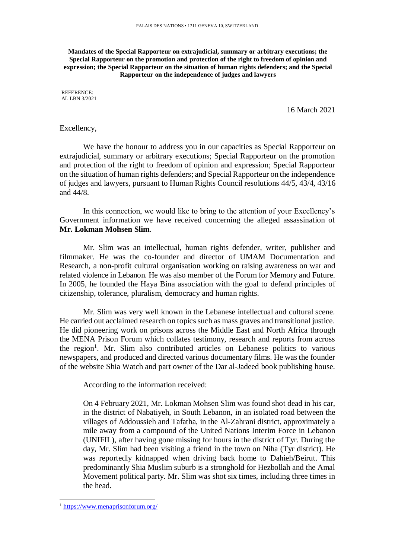**Mandates of the Special Rapporteur on extrajudicial, summary or arbitrary executions; the Special Rapporteur on the promotion and protection of the right to freedom of opinion and expression; the Special Rapporteur on the situation of human rights defenders; and the Special Rapporteur on the independence of judges and lawyers**

REFERENCE: AL LBN 3/2021

16 March 2021

## Excellency,

We have the honour to address you in our capacities as Special Rapporteur on extrajudicial, summary or arbitrary executions; Special Rapporteur on the promotion and protection of the right to freedom of opinion and expression; Special Rapporteur on the situation of human rights defenders; and Special Rapporteur on the independence of judges and lawyers, pursuant to Human Rights Council resolutions 44/5, 43/4, 43/16 and 44/8.

In this connection, we would like to bring to the attention of your Excellency's Government information we have received concerning the alleged assassination of **Mr. Lokman Mohsen Slim**.

Mr. Slim was an intellectual, human rights defender, writer, publisher and filmmaker. He was the co-founder and director of UMAM Documentation and Research, a non-profit cultural organisation working on raising awareness on war and related violence in Lebanon. He was also member of the Forum for Memory and Future. In 2005, he founded the Haya Bina association with the goal to defend principles of citizenship, tolerance, pluralism, democracy and human rights.

Mr. Slim was very well known in the Lebanese intellectual and cultural scene. He carried out acclaimed research on topics such as mass graves and transitional justice. He did pioneering work on prisons across the Middle East and North Africa through the MENA Prison Forum which collates testimony, research and reports from across the region<sup>1</sup>. Mr. Slim also contributed articles on Lebanese politics to various newspapers, and produced and directed various documentary films. He was the founder of the website Shia Watch and part owner of the Dar al-Jadeed book publishing house.

According to the information received:

On 4 February 2021, Mr. Lokman Mohsen Slim was found shot dead in his car, in the district of Nabatiyeh, in South Lebanon, in an isolated road between the villages of Addoussieh and Tafatha, in the Al-Zahrani district, approximately a mile away from a compound of the United Nations Interim Force in Lebanon (UNIFIL), after having gone missing for hours in the district of Tyr. During the day, Mr. Slim had been visiting a friend in the town on Niha (Tyr district). He was reportedly kidnapped when driving back home to Dahieh/Beirut. This predominantly Shia Muslim suburb is a stronghold for Hezbollah and the Amal Movement political party. Mr. Slim was shot six times, including three times in the head.

<sup>1</sup> <https://www.menaprisonforum.org/>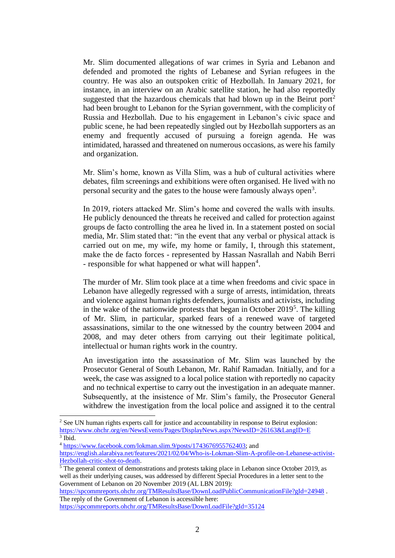Mr. Slim documented allegations of war crimes in Syria and Lebanon and defended and promoted the rights of Lebanese and Syrian refugees in the country. He was also an outspoken critic of Hezbollah. In January 2021, for instance, in an interview on an Arabic satellite station, he had also reportedly suggested that the hazardous chemicals that had blown up in the Beirut port<sup>2</sup> had been brought to Lebanon for the Syrian government, with the complicity of Russia and Hezbollah. Due to his engagement in Lebanon's civic space and public scene, he had been repeatedly singled out by Hezbollah supporters as an enemy and frequently accused of pursuing a foreign agenda. He was intimidated, harassed and threatened on numerous occasions, as were his family and organization.

Mr. Slim's home, known as Villa Slim, was a hub of cultural activities where debates, film screenings and exhibitions were often organised. He lived with no personal security and the gates to the house were famously always open<sup>3</sup>.

In 2019, rioters attacked Mr. Slim's home and covered the walls with insults. He publicly denounced the threats he received and called for protection against groups de facto controlling the area he lived in. In a statement posted on social media, Mr. Slim stated that: "in the event that any verbal or physical attack is carried out on me, my wife, my home or family, I, through this statement, make the de facto forces - represented by Hassan Nasrallah and Nabih Berri - responsible for what happened or what will happen<sup>4</sup>.

The murder of Mr. Slim took place at a time when freedoms and civic space in Lebanon have allegedly regressed with a surge of arrests, intimidation, threats and violence against human rights defenders, journalists and activists, including in the wake of the nationwide protests that began in October 2019<sup>5</sup>. The killing of Mr. Slim, in particular, sparked fears of a renewed wave of targeted assassinations, similar to the one witnessed by the country between 2004 and 2008, and may deter others from carrying out their legitimate political, intellectual or human rights work in the country.

An investigation into the assassination of Mr. Slim was launched by the Prosecutor General of South Lebanon, Mr. Rahif Ramadan. Initially, and for a week, the case was assigned to a local police station with reportedly no capacity and no technical expertise to carry out the investigation in an adequate manner. Subsequently, at the insistence of Mr. Slim's family, the Prosecutor General withdrew the investigation from the local police and assigned it to the central

-

<https://spcommreports.ohchr.org/TMResultsBase/DownLoadPublicCommunicationFile?gId=24948> . The reply of the Government of Lebanon is accessible here:

<sup>&</sup>lt;sup>2</sup> See UN human rights experts call for justice and accountability in response to Beirut explosion: <https://www.ohchr.org/en/NewsEvents/Pages/DisplayNews.aspx?NewsID=26163&LangID=E> 3 Ibid.

<sup>4</sup> [https://www.facebook.com/lokman.slim.9/posts/1743676955762403;](https://www.facebook.com/lokman.slim.9/posts/1743676955762403) and

[https://english.alarabiya.net/features/2021/02/04/Who-is-Lokman-Slim-A-profile-on-Lebanese-activist-](https://english.alarabiya.net/features/2021/02/04/Who-is-Lokman-Slim-A-profile-on-Lebanese-activist-Hezbollah-critic-shot-to-death)[Hezbollah-critic-shot-to-death.](https://english.alarabiya.net/features/2021/02/04/Who-is-Lokman-Slim-A-profile-on-Lebanese-activist-Hezbollah-critic-shot-to-death)

 $\frac{1}{5}$  The general context of demonstrations and protests taking place in Lebanon since October 2019, as well as their underlying causes, was addressed by different Special Procedures in a letter sent to the Government of Lebanon on 20 November 2019 (AL LBN 2019):

<https://spcommreports.ohchr.org/TMResultsBase/DownLoadFile?gId=35124>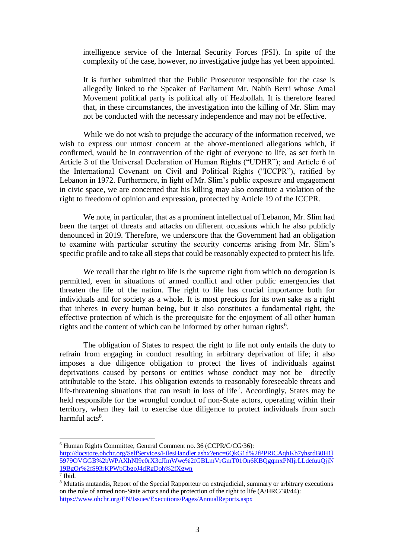intelligence service of the Internal Security Forces (FSI). In spite of the complexity of the case, however, no investigative judge has yet been appointed.

It is further submitted that the Public Prosecutor responsible for the case is allegedly linked to the Speaker of Parliament Mr. Nabih Berri whose Amal Movement political party is political ally of Hezbollah. It is therefore feared that, in these circumstances, the investigation into the killing of Mr. Slim may not be conducted with the necessary independence and may not be effective.

While we do not wish to prejudge the accuracy of the information received, we wish to express our utmost concern at the above-mentioned allegations which, if confirmed, would be in contravention of the right of everyone to life, as set forth in Article 3 of the Universal Declaration of Human Rights ("UDHR"); and Article 6 of the International Covenant on Civil and Political Rights ("ICCPR"), ratified by Lebanon in 1972. Furthermore, in light of Mr. Slim's public exposure and engagement in civic space, we are concerned that his killing may also constitute a violation of the right to freedom of opinion and expression, protected by Article 19 of the ICCPR.

We note, in particular, that as a prominent intellectual of Lebanon, Mr. Slim had been the target of threats and attacks on different occasions which he also publicly denounced in 2019. Therefore, we underscore that the Government had an obligation to examine with particular scrutiny the security concerns arising from Mr. Slim's specific profile and to take all steps that could be reasonably expected to protect his life.

We recall that the right to life is the supreme right from which no derogation is permitted, even in situations of armed conflict and other public emergencies that threaten the life of the nation. The right to life has crucial importance both for individuals and for society as a whole. It is most precious for its own sake as a right that inheres in every human being, but it also constitutes a fundamental right, the effective protection of which is the prerequisite for the enjoyment of all other human rights and the content of which can be informed by other human rights<sup>6</sup>.

The obligation of States to respect the right to life not only entails the duty to refrain from engaging in conduct resulting in arbitrary deprivation of life; it also imposes a due diligence obligation to protect the lives of individuals against deprivations caused by persons or entities whose conduct may not be directly attributable to the State. This obligation extends to reasonably foreseeable threats and life-threatening situations that can result in loss of life<sup>7</sup>. Accordingly, States may be held responsible for the wrongful conduct of non-State actors, operating within their territory, when they fail to exercise due diligence to protect individuals from such harmful acts<sup>8</sup>.

<sup>6</sup> Human Rights Committee, General Comment no. 36 (CCPR/C/CG/36):

[http://docstore.ohchr.org/SelfServices/FilesHandler.ashx?enc=6QkG1d%2fPPRiCAqhKb7yhsrdB0H1l](http://docstore.ohchr.org/SelfServices/FilesHandler.ashx?enc=6QkG1d%2fPPRiCAqhKb7yhsrdB0H1l5979OVGGB%2bWPAXhNI9e0rX3cJImWwe%2fGBLmVrGmT01On6KBQgqmxPNIjrLLdefuuQjjN19BgOr%2fS93rKPWbCbgoJ4dRgDoh%2fXgwn) [5979OVGGB%2bWPAXhNI9e0rX3cJImWwe%2fGBLmVrGmT01On6KBQgqmxPNIjrLLdefuuQjjN](http://docstore.ohchr.org/SelfServices/FilesHandler.ashx?enc=6QkG1d%2fPPRiCAqhKb7yhsrdB0H1l5979OVGGB%2bWPAXhNI9e0rX3cJImWwe%2fGBLmVrGmT01On6KBQgqmxPNIjrLLdefuuQjjN19BgOr%2fS93rKPWbCbgoJ4dRgDoh%2fXgwn) [19BgOr%2fS93rKPWbCbgoJ4dRgDoh%2fXgwn](http://docstore.ohchr.org/SelfServices/FilesHandler.ashx?enc=6QkG1d%2fPPRiCAqhKb7yhsrdB0H1l5979OVGGB%2bWPAXhNI9e0rX3cJImWwe%2fGBLmVrGmT01On6KBQgqmxPNIjrLLdefuuQjjN19BgOr%2fS93rKPWbCbgoJ4dRgDoh%2fXgwn)

<sup>7</sup> Ibid.

<sup>8</sup> Mutatis mutandis, Report of the Special Rapporteur on extrajudicial, summary or arbitrary executions on the role of armed non-State actors and the protection of the right to life (A/HRC/38/44): <https://www.ohchr.org/EN/Issues/Executions/Pages/AnnualReports.aspx>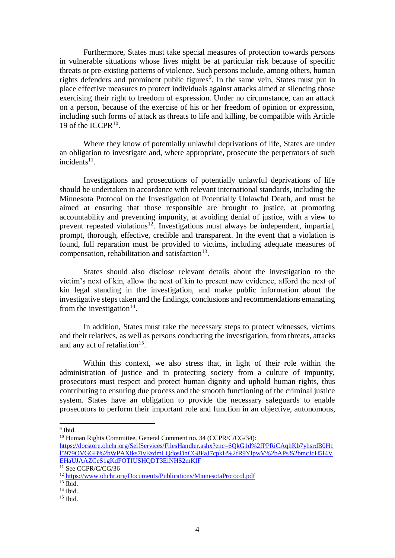Furthermore, States must take special measures of protection towards persons in vulnerable situations whose lives might be at particular risk because of specific threats or pre-existing patterns of violence. Such persons include, among others, human rights defenders and prominent public figures<sup>9</sup>. In the same vein, States must put in place effective measures to protect individuals against attacks aimed at silencing those exercising their right to freedom of expression. Under no circumstance, can an attack on a person, because of the exercise of his or her freedom of opinion or expression, including such forms of attack as threats to life and killing, be compatible with Article 19 of the ICCPR $10$ .

Where they know of potentially unlawful deprivations of life, States are under an obligation to investigate and, where appropriate, prosecute the perpetrators of such incidents $11$ .

Investigations and prosecutions of potentially unlawful deprivations of life should be undertaken in accordance with relevant international standards, including the Minnesota Protocol on the Investigation of Potentially Unlawful Death, and must be aimed at ensuring that those responsible are brought to justice, at promoting accountability and preventing impunity, at avoiding denial of justice, with a view to prevent repeated violations<sup>12</sup>. Investigations must always be independent, impartial, prompt, thorough, effective, credible and transparent. In the event that a violation is found, full reparation must be provided to victims, including adequate measures of compensation, rehabilitation and satisfaction $^{13}$ .

States should also disclose relevant details about the investigation to the victim's next of kin, allow the next of kin to present new evidence, afford the next of kin legal standing in the investigation, and make public information about the investigative steps taken and the findings, conclusions and recommendations emanating from the investigation $14$ .

In addition, States must take the necessary steps to protect witnesses, victims and their relatives, as well as persons conducting the investigation, from threats, attacks and any act of retaliation<sup>15</sup>.

Within this context, we also stress that, in light of their role within the administration of justice and in protecting society from a culture of impunity, prosecutors must respect and protect human dignity and uphold human rights, thus contributing to ensuring due process and the smooth functioning of the criminal justice system. States have an obligation to provide the necessary safeguards to enable prosecutors to perform their important role and function in an objective, autonomous,

l

[https://docstore.ohchr.org/SelfServices/FilesHandler.ashx?enc=6QkG1d%2fPPRiCAqhKb7yhsrdB0H1](https://docstore.ohchr.org/SelfServices/FilesHandler.ashx?enc=6QkG1d%2fPPRiCAqhKb7yhsrdB0H1l5979OVGGB%2bWPAXiks7ivEzdmLQdosDnCG8FaJ7cpkH%2fR9YlpwV%2bAPs%2bmcJcH5I4VEHaUJAAZCeS1gKdFOTIUSHQDT3EiNHS2mKlF) [l5979OVGGB%2bWPAXiks7ivEzdmLQdosDnCG8FaJ7cpkH%2fR9YlpwV%2bAPs%2bmcJcH5I4V](https://docstore.ohchr.org/SelfServices/FilesHandler.ashx?enc=6QkG1d%2fPPRiCAqhKb7yhsrdB0H1l5979OVGGB%2bWPAXiks7ivEzdmLQdosDnCG8FaJ7cpkH%2fR9YlpwV%2bAPs%2bmcJcH5I4VEHaUJAAZCeS1gKdFOTIUSHQDT3EiNHS2mKlF) [EHaUJAAZCeS1gKdFOTIUSHQDT3EiNHS2mKlF](https://docstore.ohchr.org/SelfServices/FilesHandler.ashx?enc=6QkG1d%2fPPRiCAqhKb7yhsrdB0H1l5979OVGGB%2bWPAXiks7ivEzdmLQdosDnCG8FaJ7cpkH%2fR9YlpwV%2bAPs%2bmcJcH5I4VEHaUJAAZCeS1gKdFOTIUSHQDT3EiNHS2mKlF)

<sup>&</sup>lt;sup>9</sup> Ibid.

<sup>&</sup>lt;sup>10</sup> Human Rights Committee, General Comment no. 34 (CCPR/C/CG/34):

 $11$  See CCPR/C/CG/36

<sup>12</sup> <https://www.ohchr.org/Documents/Publications/MinnesotaProtocol.pdf>

 $13 \overline{\text{Ibid.}}$ 

 $14$  Ibid.

 $15$  Ibid.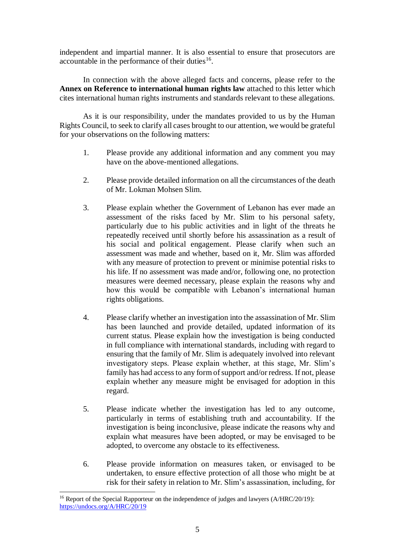independent and impartial manner. It is also essential to ensure that prosecutors are accountable in the performance of their duties $16$ .

In connection with the above alleged facts and concerns, please refer to the **Annex on Reference to international human rights law** attached to this letter which cites international human rights instruments and standards relevant to these allegations.

As it is our responsibility, under the mandates provided to us by the Human Rights Council, to seek to clarify all cases brought to our attention, we would be grateful for your observations on the following matters:

- 1. Please provide any additional information and any comment you may have on the above-mentioned allegations.
- 2. Please provide detailed information on all the circumstances of the death of Mr. Lokman Mohsen Slim.
- 3. Please explain whether the Government of Lebanon has ever made an assessment of the risks faced by Mr. Slim to his personal safety, particularly due to his public activities and in light of the threats he repeatedly received until shortly before his assassination as a result of his social and political engagement. Please clarify when such an assessment was made and whether, based on it, Mr. Slim was afforded with any measure of protection to prevent or minimise potential risks to his life. If no assessment was made and/or, following one, no protection measures were deemed necessary, please explain the reasons why and how this would be compatible with Lebanon's international human rights obligations.
- 4. Please clarify whether an investigation into the assassination of Mr. Slim has been launched and provide detailed, updated information of its current status. Please explain how the investigation is being conducted in full compliance with international standards, including with regard to ensuring that the family of Mr. Slim is adequately involved into relevant investigatory steps. Please explain whether, at this stage, Mr. Slim's family has had access to any form of support and/or redress. If not, please explain whether any measure might be envisaged for adoption in this regard.
- 5. Please indicate whether the investigation has led to any outcome, particularly in terms of establishing truth and accountability. If the investigation is being inconclusive, please indicate the reasons why and explain what measures have been adopted, or may be envisaged to be adopted, to overcome any obstacle to its effectiveness.
- 6. Please provide information on measures taken, or envisaged to be undertaken, to ensure effective protection of all those who might be at risk for their safety in relation to Mr. Slim's assassination, including, for

<sup>&</sup>lt;sup>16</sup> Report of the Special Rapporteur on the independence of judges and lawyers (A/HRC/20/19): <https://undocs.org/A/HRC/20/19>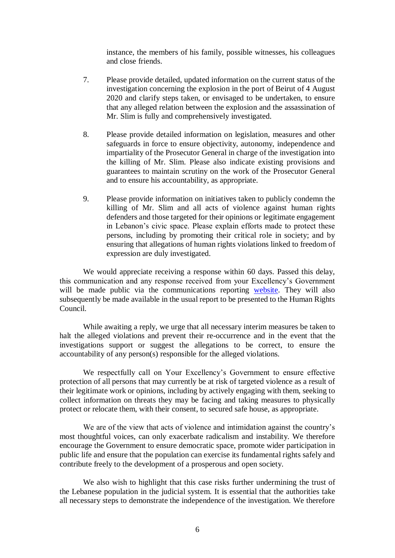instance, the members of his family, possible witnesses, his colleagues and close friends.

- 7. Please provide detailed, updated information on the current status of the investigation concerning the explosion in the port of Beirut of 4 August 2020 and clarify steps taken, or envisaged to be undertaken, to ensure that any alleged relation between the explosion and the assassination of Mr. Slim is fully and comprehensively investigated.
- 8. Please provide detailed information on legislation, measures and other safeguards in force to ensure objectivity, autonomy, independence and impartiality of the Prosecutor General in charge of the investigation into the killing of Mr. Slim. Please also indicate existing provisions and guarantees to maintain scrutiny on the work of the Prosecutor General and to ensure his accountability, as appropriate.
- 9. Please provide information on initiatives taken to publicly condemn the killing of Mr. Slim and all acts of violence against human rights defenders and those targeted for their opinions or legitimate engagement in Lebanon's civic space. Please explain efforts made to protect these persons, including by promoting their critical role in society; and by ensuring that allegations of human rights violations linked to freedom of expression are duly investigated.

We would appreciate receiving a response within 60 days. Passed this delay, this communication and any response received from your Excellency's Government will be made public via the communications reporting [website.](https://spcommreports.ohchr.org/) They will also subsequently be made available in the usual report to be presented to the Human Rights Council.

While awaiting a reply, we urge that all necessary interim measures be taken to halt the alleged violations and prevent their re-occurrence and in the event that the investigations support or suggest the allegations to be correct, to ensure the accountability of any person(s) responsible for the alleged violations.

We respectfully call on Your Excellency's Government to ensure effective protection of all persons that may currently be at risk of targeted violence as a result of their legitimate work or opinions, including by actively engaging with them, seeking to collect information on threats they may be facing and taking measures to physically protect or relocate them, with their consent, to secured safe house, as appropriate.

We are of the view that acts of violence and intimidation against the country's most thoughtful voices, can only exacerbate radicalism and instability. We therefore encourage the Government to ensure democratic space, promote wider participation in public life and ensure that the population can exercise its fundamental rights safely and contribute freely to the development of a prosperous and open society.

We also wish to highlight that this case risks further undermining the trust of the Lebanese population in the judicial system. It is essential that the authorities take all necessary steps to demonstrate the independence of the investigation. We therefore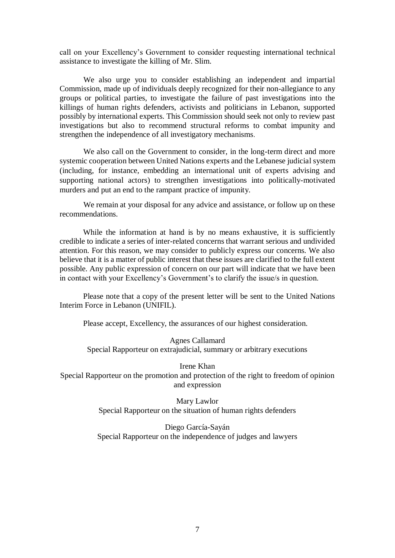call on your Excellency's Government to consider requesting international technical assistance to investigate the killing of Mr. Slim.

We also urge you to consider establishing an independent and impartial Commission, made up of individuals deeply recognized for their non-allegiance to any groups or political parties, to investigate the failure of past investigations into the killings of human rights defenders, activists and politicians in Lebanon, supported possibly by international experts. This Commission should seek not only to review past investigations but also to recommend structural reforms to combat impunity and strengthen the independence of all investigatory mechanisms.

We also call on the Government to consider, in the long-term direct and more systemic cooperation between United Nations experts and the Lebanese judicial system (including, for instance, embedding an international unit of experts advising and supporting national actors) to strengthen investigations into politically-motivated murders and put an end to the rampant practice of impunity.

We remain at your disposal for any advice and assistance, or follow up on these recommendations.

While the information at hand is by no means exhaustive, it is sufficiently credible to indicate a series of inter-related concerns that warrant serious and undivided attention. For this reason, we may consider to publicly express our concerns. We also believe that it is a matter of public interest that these issues are clarified to the full extent possible. Any public expression of concern on our part will indicate that we have been in contact with your Excellency's Government's to clarify the issue/s in question.

Please note that a copy of the present letter will be sent to the United Nations Interim Force in Lebanon (UNIFIL).

Please accept, Excellency, the assurances of our highest consideration.

Agnes Callamard Special Rapporteur on extrajudicial, summary or arbitrary executions

Irene Khan Special Rapporteur on the promotion and protection of the right to freedom of opinion and expression

> Mary Lawlor Special Rapporteur on the situation of human rights defenders

Diego García-Sayán Special Rapporteur on the independence of judges and lawyers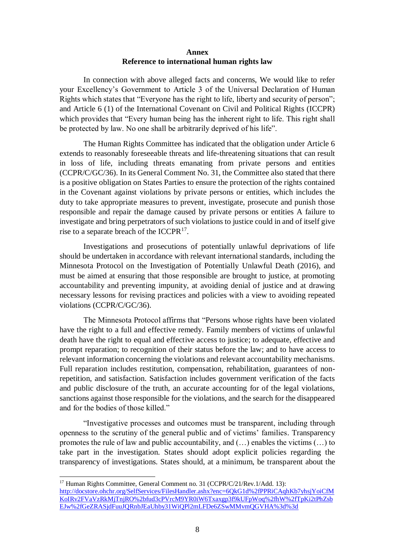## **Annex Reference to international human rights law**

In connection with above alleged facts and concerns, We would like to refer your Excellency's Government to Article 3 of the Universal Declaration of Human Rights which states that "Everyone has the right to life, liberty and security of person"; and Article 6 (1) of the International Covenant on Civil and Political Rights (ICCPR) which provides that "Every human being has the inherent right to life. This right shall be protected by law. No one shall be arbitrarily deprived of his life".

The Human Rights Committee has indicated that the obligation under Article 6 extends to reasonably foreseeable threats and life-threatening situations that can result in loss of life, including threats emanating from private persons and entities (CCPR/C/GC/36). In its General Comment No. 31, the Committee also stated that there is a positive obligation on States Parties to ensure the protection of the rights contained in the Covenant against violations by private persons or entities, which includes the duty to take appropriate measures to prevent, investigate, prosecute and punish those responsible and repair the damage caused by private persons or entities A failure to investigate and bring perpetrators of such violations to justice could in and of itself give rise to a separate breach of the ICCPR<sup>17</sup>.

Investigations and prosecutions of potentially unlawful deprivations of life should be undertaken in accordance with relevant international standards, including the Minnesota Protocol on the Investigation of Potentially Unlawful Death (2016), and must be aimed at ensuring that those responsible are brought to justice, at promoting accountability and preventing impunity, at avoiding denial of justice and at drawing necessary lessons for revising practices and policies with a view to avoiding repeated violations (CCPR/C/GC/36).

The Minnesota Protocol affirms that "Persons whose rights have been violated have the right to a full and effective remedy. Family members of victims of unlawful death have the right to equal and effective access to justice; to adequate, effective and prompt reparation; to recognition of their status before the law; and to have access to relevant information concerning the violations and relevant accountability mechanisms. Full reparation includes restitution, compensation, rehabilitation, guarantees of nonrepetition, and satisfaction. Satisfaction includes government verification of the facts and public disclosure of the truth, an accurate accounting for of the legal violations, sanctions against those responsible for the violations, and the search for the disappeared and for the bodies of those killed."

"Investigative processes and outcomes must be transparent, including through openness to the scrutiny of the general public and of victims' families. Transparency promotes the rule of law and public accountability, and (…) enables the victims (…) to take part in the investigation. States should adopt explicit policies regarding the transparency of investigations. States should, at a minimum, be transparent about the

<sup>&</sup>lt;sup>17</sup> Human Rights Committee, General Comment no. 31 (CCPR/C/21/Rev.1/Add. 13): [http://docstore.ohchr.org/SelfServices/FilesHandler.ashx?enc=6QkG1d%2fPPRiCAqhKb7yhsjYoiCfM](http://docstore.ohchr.org/SelfServices/FilesHandler.ashx?enc=6QkG1d%2fPPRiCAqhKb7yhsjYoiCfMKoIRv2FVaVzRkMjTnjRO%2bfud3cPVrcM9YR0iW6Txaxgp3f9kUFpWoq%2fhW%2fTpKi2tPhZsbEJw%2fGeZRASjdFuuJQRnbJEaUhby31WiQPl2mLFDe6ZSwMMvmQGVHA%3d%3d) [KoIRv2FVaVzRkMjTnjRO%2bfud3cPVrcM9YR0iW6Txaxgp3f9kUFpWoq%2fhW%2fTpKi2tPhZsb](http://docstore.ohchr.org/SelfServices/FilesHandler.ashx?enc=6QkG1d%2fPPRiCAqhKb7yhsjYoiCfMKoIRv2FVaVzRkMjTnjRO%2bfud3cPVrcM9YR0iW6Txaxgp3f9kUFpWoq%2fhW%2fTpKi2tPhZsbEJw%2fGeZRASjdFuuJQRnbJEaUhby31WiQPl2mLFDe6ZSwMMvmQGVHA%3d%3d) [EJw%2fGeZRASjdFuuJQRnbJEaUhby31WiQPl2mLFDe6ZSwMMvmQGVHA%3d%3d](http://docstore.ohchr.org/SelfServices/FilesHandler.ashx?enc=6QkG1d%2fPPRiCAqhKb7yhsjYoiCfMKoIRv2FVaVzRkMjTnjRO%2bfud3cPVrcM9YR0iW6Txaxgp3f9kUFpWoq%2fhW%2fTpKi2tPhZsbEJw%2fGeZRASjdFuuJQRnbJEaUhby31WiQPl2mLFDe6ZSwMMvmQGVHA%3d%3d)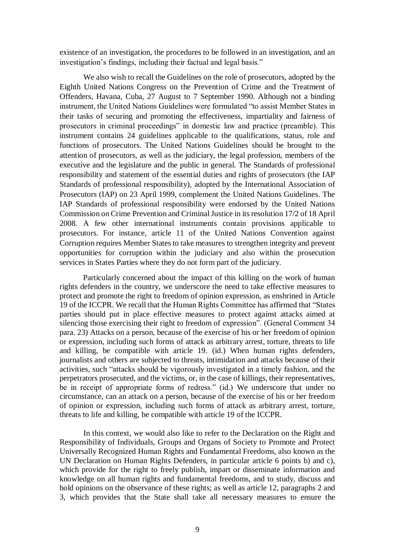existence of an investigation, the procedures to be followed in an investigation, and an investigation's findings, including their factual and legal basis."

We also wish to recall the Guidelines on the role of prosecutors, adopted by the Eighth United Nations Congress on the Prevention of Crime and the Treatment of Offenders, Havana, Cuba, 27 August to 7 September 1990. Although not a binding instrument, the United Nations Guidelines were formulated "to assist Member States in their tasks of securing and promoting the effectiveness, impartiality and fairness of prosecutors in criminal proceedings" in domestic law and practice (preamble). This instrument contains 24 guidelines applicable to the qualifications, status, role and functions of prosecutors. The United Nations Guidelines should be brought to the attention of prosecutors, as well as the judiciary, the legal profession, members of the executive and the legislature and the public in general. The Standards of professional responsibility and statement of the essential duties and rights of prosecutors (the IAP Standards of professional responsibility), adopted by the International Association of Prosecutors (IAP) on 23 April 1999, complement the United Nations Guidelines. The IAP Standards of professional responsibility were endorsed by the United Nations Commission on Crime Prevention and Criminal Justice in its resolution 17/2 of 18 April 2008. A few other international instruments contain provisions applicable to prosecutors. For instance, article 11 of the United Nations Convention against Corruption requires Member States to take measures to strengthen integrity and prevent opportunities for corruption within the judiciary and also within the prosecution services in States Parties where they do not form part of the judiciary.

Particularly concerned about the impact of this killing on the work of human rights defenders in the country, we underscore the need to take effective measures to protect and promote the right to freedom of opinion expression, as enshrined in Article 19 of the ICCPR. We recall that the Human Rights Committee has affirmed that "States parties should put in place effective measures to protect against attacks aimed at silencing those exercising their right to freedom of expression". (General Comment 34 para. 23) Attacks on a person, because of the exercise of his or her freedom of opinion or expression, including such forms of attack as arbitrary arrest, torture, threats to life and killing, be compatible with article 19. (id.) When human rights defenders, journalists and others are subjected to threats, intimidation and attacks because of their activities, such "attacks should be vigorously investigated in a timely fashion, and the perpetrators prosecuted, and the victims, or, in the case of killings, their representatives, be in receipt of appropriate forms of redress." (id.) We underscore that under no circumstance, can an attack on a person, because of the exercise of his or her freedom of opinion or expression, including such forms of attack as arbitrary arrest, torture, threats to life and killing, be compatible with article 19 of the ICCPR.

In this context, we would also like to refer to the Declaration on the Right and Responsibility of Individuals, Groups and Organs of Society to Promote and Protect Universally Recognized Human Rights and Fundamental Freedoms, also known as the UN Declaration on Human Rights Defenders, in particular article 6 points b) and c), which provide for the right to freely publish, impart or disseminate information and knowledge on all human rights and fundamental freedoms, and to study, discuss and hold opinions on the observance of these rights; as well as article 12, paragraphs 2 and 3, which provides that the State shall take all necessary measures to ensure the